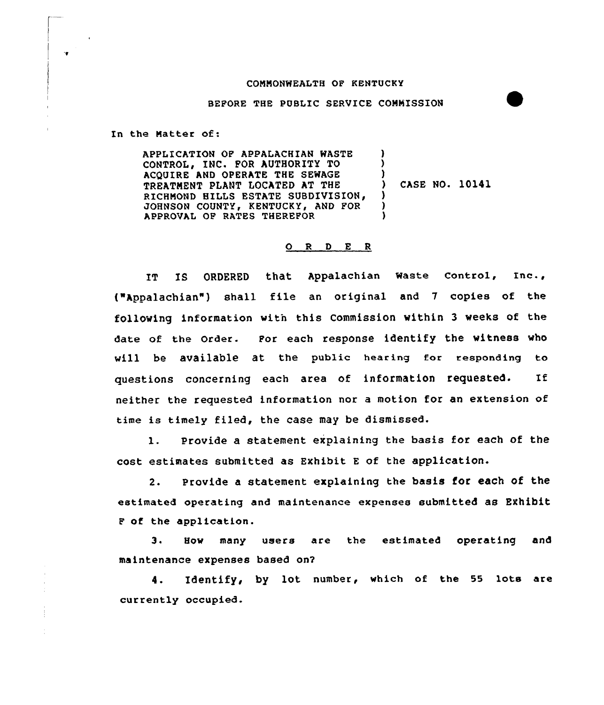## COMMONWEAITH OF KENTUCKY

## BEPORE THE PUBLIC SERVICE COMMISSION

In the Matter of:

APPLICATION OP APPALACHIAN WASTE CONTROL, INC. FOR AUTHORITY TO ACQUIRE AND OPERATE THE SEWAGE TREATMENT PLANT LOCATED AT THE RICHMOND HILLS ESTATE SUBDIVISION, JOHNSON COUNTY, KENTUCKY, AND POR APPROVAL OP RATES THEREFOR ) ) ) ) CASE NO. 10141 ) ) )

## 0 <sup>R</sup> <sup>D</sup> <sup>E</sup> <sup>R</sup>

IT IS ORDERED that APPalachian Waste Control, Inc., ("Appalachian") shall file an original and 7 copies of the following information witn this Commission within 3 weeks of the date of the Order. Por each response identify the witness who will be available at the public hearing for responding to questions concerning each area of information requested. If neither the requested information nor a motion for an extension of time is timely filed, the case may be dismissed.

l. Provide <sup>a</sup> statement explaining the basis for each of the cost estimates submitted as Exhibit E of the application.

2. Provide a statement explaining the basis for each of the estimated operating and maintenance expenses submitted as Exhibit <sup>P</sup> of the application.

3. How many users are the estimated operating and maintenance expenses based on?

4. Identify, by lot number, which of the 55 lots are currently occupied.